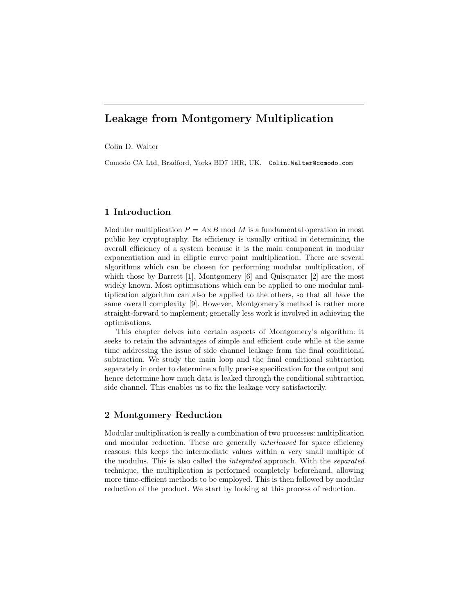# Leakage from Montgomery Multiplication

Colin D. Walter

Comodo CA Ltd, Bradford, Yorks BD7 1HR, UK. Colin.Walter@comodo.com

# 1 Introduction

Modular multiplication  $P = A \times B$  mod M is a fundamental operation in most public key cryptography. Its efficiency is usually critical in determining the overall efficiency of a system because it is the main component in modular exponentiation and in elliptic curve point multiplication. There are several algorithms which can be chosen for performing modular multiplication, of which those by Barrett [1], Montgomery [6] and Quisquater [2] are the most widely known. Most optimisations which can be applied to one modular multiplication algorithm can also be applied to the others, so that all have the same overall complexity [9]. However, Montgomery's method is rather more straight-forward to implement; generally less work is involved in achieving the optimisations.

This chapter delves into certain aspects of Montgomery's algorithm: it seeks to retain the advantages of simple and efficient code while at the same time addressing the issue of side channel leakage from the final conditional subtraction. We study the main loop and the final conditional subtraction separately in order to determine a fully precise specification for the output and hence determine how much data is leaked through the conditional subtraction side channel. This enables us to fix the leakage very satisfactorily.

# 2 Montgomery Reduction

Modular multiplication is really a combination of two processes: multiplication and modular reduction. These are generally *interleaved* for space efficiency reasons: this keeps the intermediate values within a very small multiple of the modulus. This is also called the integrated approach. With the separated technique, the multiplication is performed completely beforehand, allowing more time-efficient methods to be employed. This is then followed by modular reduction of the product. We start by looking at this process of reduction.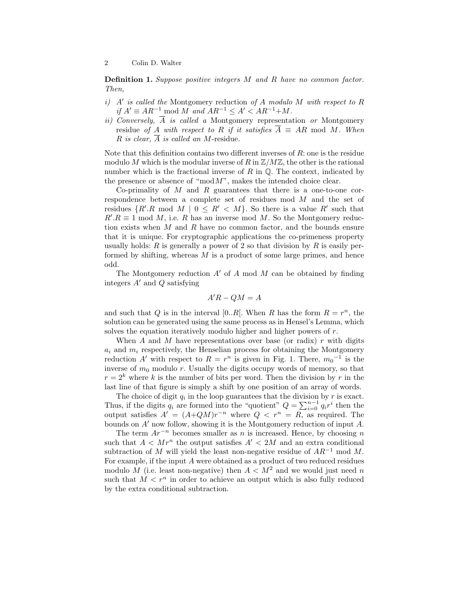Definition 1. Suppose positive integers M and R have no common factor. Then,

- $i)$  A' is called the Montgomery reduction of A modulo M with respect to R if  $A' \equiv AR^{-1} \mod M$  and  $AR^{-1} \leq A' < AR^{-1} + M$ .
- ii) Conversely,  $\overline{A}$  is called a Montgomery representation or Montgomery residue of A with respect to R if it satisfies  $\overline{A} \equiv AR \mod M$ . When R is clear,  $\overline{A}$  is called an M-residue.

Note that this definition contains two different inverses of R: one is the residue modulo M which is the modular inverse of R in  $\mathbb{Z}/M\mathbb{Z}$ , the other is the rational number which is the fractional inverse of R in  $\mathbb Q$ . The context, indicated by the presence or absence of " $mod M$ ", makes the intended choice clear.

Co-primality of  $M$  and  $R$  guarantees that there is a one-to-one correspondence between a complete set of residues mod M and the set of residues  $\{R'.R \mod M \mid 0 \leq R' < M\}$ . So there is a value  $R'$  such that  $R'R \equiv 1 \text{ mod } M$ , i.e. R has an inverse mod M. So the Montgomery reduction exists when  $M$  and  $R$  have no common factor, and the bounds ensure that it is unique. For cryptographic applications the co-primeness property usually holds: R is generally a power of 2 so that division by R is easily performed by shifting, whereas  $M$  is a product of some large primes, and hence odd.

The Montgomery reduction  $A'$  of A mod M can be obtained by finding integers  $A'$  and  $Q$  satisfying

$$
A'R - QM = A
$$

and such that Q is in the interval [0..*R*]. When R has the form  $R = r^n$ , the solution can be generated using the same process as in Hensel's Lemma, which solves the equation iteratively modulo higher and higher powers of  $r$ .

When A and M have representations over base (or radix)  $r$  with digits  $a_i$  and  $m_i$  respectively, the Henselian process for obtaining the Montgomery reduction A' with respect to  $R = r^n$  is given in Fig. 1. There,  $m_0^{-1}$  is the inverse of  $m_0$  modulo r. Usually the digits occupy words of memory, so that  $r = 2<sup>k</sup>$  where k is the number of bits per word. Then the division by r in the last line of that figure is simply a shift by one position of an array of words.

The choice of digit  $q_i$  in the loop guarantees that the division by r is exact. Thus, if the digits  $q_i$  are formed into the "quotient"  $Q = \sum_{i=0}^{n-1} q_i r^i$  then the output satisfies  $A' = (A+QM)r^{-n}$  where  $Q < r^n = R$ , as required. The bounds on  $A'$  now follow, showing it is the Montgomery reduction of input  $A$ .

The term  $Ar^{-n}$  becomes smaller as n is increased. Hence, by choosing n such that  $A \langle Mr^n \rangle$  the output satisfies  $A' \langle 2M \rangle$  and an extra conditional subtraction of M will yield the least non-negative residue of  $AR^{-1}$  mod M. For example, if the input A were obtained as a product of two reduced residues modulo M (i.e. least non-negative) then  $A \lt M^2$  and we would just need n such that  $M < r^n$  in order to achieve an output which is also fully reduced by the extra conditional subtraction.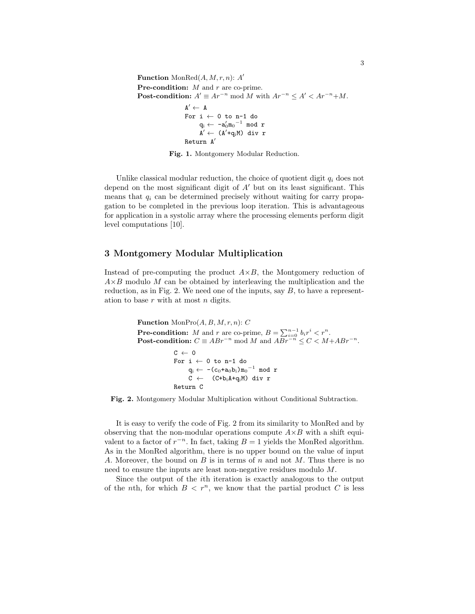```
Function \text{MonRed}(A, M, r, n): A'
Pre-condition: M and r are co-prime.
Post-condition: A' \equiv Ar^{-n} \mod M with Ar^{-n} \leq A' < Ar^{-n} + M.
                        A' \leftarrow AFor i \leftarrow 0 to n-1 do
                                \mathbf{q_i} \gets \left. \begin{smallmatrix} -\mathbf{a}_0' \mathfrak{m_0}^{-1} & \text{mod}\end{smallmatrix} \right. \mathbf{r}A' \leftarrow (A'+q_iM) div r
                        Return A'
```
Fig. 1. Montgomery Modular Reduction.

Unlike classical modular reduction, the choice of quotient digit  $q_i$  does not depend on the most significant digit of  $A<sup>'</sup>$  but on its least significant. This means that  $q_i$  can be determined precisely without waiting for carry propagation to be completed in the previous loop iteration. This is advantageous for application in a systolic array where the processing elements perform digit level computations [10].

# 3 Montgomery Modular Multiplication

Instead of pre-computing the product  $A \times B$ , the Montgomery reduction of  $A\times B$  modulo M can be obtained by interleaving the multiplication and the reduction, as in Fig. 2. We need one of the inputs, say  $B$ , to have a representation to base  $r$  with at most  $n$  digits.

> **Function** MonPro $(A, B, M, r, n)$ : C **Pre-condition:** M and r are co-prime,  $B = \sum_{i=0}^{n-1} b_i r^i < r^n$ . Post-condition:  $C \equiv ABr^{-n} \mod M$  and  $ABr^{-n} \leq C < M + ABr^{-n}$ .  $C \leftarrow 0$ For  $i \leftarrow 0$  to n-1 do  $\mathbf{q_i} \gets \texttt{-(c_0+a_0b_i)m_0}^{-1}$  mod r  $C \leftarrow$  (C+b<sub>i</sub>A+q<sub>i</sub>M) div r Return C

Fig. 2. Montgomery Modular Multiplication without Conditional Subtraction.

It is easy to verify the code of Fig. 2 from its similarity to MonRed and by observing that the non-modular operations compute  $A \times B$  with a shift equivalent to a factor of  $r^{-n}$ . In fact, taking  $B = 1$  yields the MonRed algorithm. As in the MonRed algorithm, there is no upper bound on the value of input A. Moreover, the bound on  $B$  is in terms of  $n$  and not  $M$ . Thus there is no need to ensure the inputs are least non-negative residues modulo M.

Since the output of the ith iteration is exactly analogous to the output of the nth, for which  $B < r^n$ , we know that the partial product C is less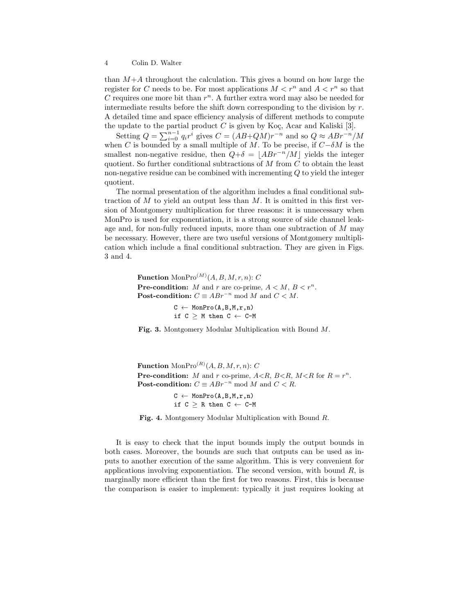than  $M+A$  throughout the calculation. This gives a bound on how large the register for C needs to be. For most applications  $M < r^n$  and  $A < r^n$  so that C requires one more bit than  $r^n$ . A further extra word may also be needed for intermediate results before the shift down corresponding to the division by  $r$ . A detailed time and space efficiency analysis of different methods to compute the update to the partial product  $C$  is given by Koç, Acar and Kaliski [3].

Setting  $Q = \sum_{i=0}^{n-1} q_i r^i$  gives  $C = (AB+QM)r^{-n}$  and so  $Q \approx ABr^{-n}/M$ when C is bounded by a small multiple of M. To be precise, if  $C-\delta M$  is the smallest non-negative residue, then  $Q+\delta = |ABr^{-n}/M|$  yields the integer quotient. So further conditional subtractions of  $M$  from  $C$  to obtain the least non-negative residue can be combined with incrementing Q to yield the integer quotient.

The normal presentation of the algorithm includes a final conditional subtraction of  $M$  to yield an output less than  $M$ . It is omitted in this first version of Montgomery multiplication for three reasons: it is unnecessary when MonPro is used for exponentiation, it is a strong source of side channel leakage and, for non-fully reduced inputs, more than one subtraction of M may be necessary. However, there are two useful versions of Montgomery multiplication which include a final conditional subtraction. They are given in Figs. 3 and 4.

> **Function** Mon $\text{Pro}^{(M)}(A, B, M, r, n)$ : C **Pre-condition:** M and r are co-prime,  $A < M$ ,  $B < r^n$ . Post-condition:  $C \equiv ABr^{-n} \mod M$  and  $C < M$ .

> > $C \leftarrow \text{MonPro}(A, B, M, r, n)$ if  $C \geq M$  then  $C \leftarrow C-M$

Fig. 3. Montgomery Modular Multiplication with Bound M.

**Function**  $\text{MonPro}^{(R)}(A, B, M, r, n): C$ **Pre-condition:** M and r co-prime,  $A \le R$ ,  $B \le R$ ,  $M \le R$  for  $R = r^n$ . Post-condition:  $C \equiv ABr^{-n} \mod M$  and  $C < R$ .

> $C \leftarrow \text{MonPro}(A, B, M, r, n)$ if  $C \ge R$  then  $C \leftarrow C-M$

Fig. 4. Montgomery Modular Multiplication with Bound R.

It is easy to check that the input bounds imply the output bounds in both cases. Moreover, the bounds are such that outputs can be used as inputs to another execution of the same algorithm. This is very convenient for applications involving exponentiation. The second version, with bound  $R$ , is marginally more efficient than the first for two reasons. First, this is because the comparison is easier to implement: typically it just requires looking at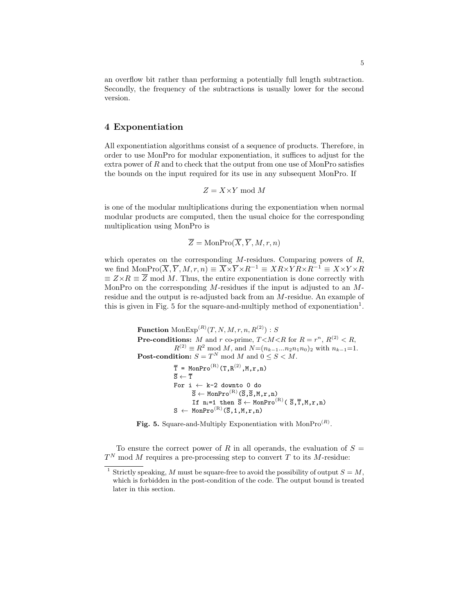an overflow bit rather than performing a potentially full length subtraction. Secondly, the frequency of the subtractions is usually lower for the second version.

### 4 Exponentiation

All exponentiation algorithms consist of a sequence of products. Therefore, in order to use MonPro for modular exponentiation, it suffices to adjust for the extra power of  $R$  and to check that the output from one use of MonPro satisfies the bounds on the input required for its use in any subsequent MonPro. If

$$
Z = X \times Y \bmod{M}
$$

is one of the modular multiplications during the exponentiation when normal modular products are computed, then the usual choice for the corresponding multiplication using MonPro is

$$
\overline{Z} = \text{MonPro}(\overline{X}, \overline{Y}, M, r, n)
$$

which operates on the corresponding  $M$ -residues. Comparing powers of  $R$ , we find  $\text{MonPro}(\overline{X}, \overline{Y}, M, r, n) \equiv \overline{X} \times \overline{Y} \times R^{-1} \equiv XR \times YR \times R^{-1} \equiv X \times Y \times R$  $\equiv Z \times R \equiv \overline{Z}$  mod M. Thus, the entire exponentiation is done correctly with MonPro on the corresponding  $M$ -residues if the input is adjusted to an  $M$ residue and the output is re-adjusted back from an M-residue. An example of this is given in Fig. 5 for the square-and-multiply method of exponentiation<sup>1</sup>.

> $\mathbf{Function}\ \mathrm{MonExp}^{(R)}(T, N, M, r, n, R^{(2)}) : S$ **Pre-conditions:** M and r co-prime,  $T \leq M \leq R$  for  $R = r^n$ ,  $R^{(2)} \leq R$ ,  $R^{(2)} \equiv R^2 \mod M$ , and  $N=(n_{k-1}...n_2n_1n_0)_2$  with  $n_{k-1}=1$ . **Post-condition:**  $S = T^N \text{ mod } M$  and  $0 \leq S \leq M$ .  $\overline{T}$  = MonPro<sup>(R)</sup>(T,R<sup>(2)</sup>,M,r,n)  $\overline{S} \leftarrow \overline{T}$ For  $i \leftarrow k-2$  downto 0 do  $\overline{S} \leftarrow$  MonPro<sup>(R)</sup>( $\overline{S}, \overline{S}, M, r, n$ ) If  $n_i=1$  then  $\overline{S} \leftarrow \text{MonPro}^{(R)}( \overline{S}, \overline{T}, M, r, n)$  $S \leftarrow \text{MonPro}^{(R)}(\overline{S}, 1, M, r, n)$

Fig. 5. Square-and-Multiply Exponentiation with  $MonPro<sup>(R)</sup>$ .

To ensure the correct power of R in all operands, the evaluation of  $S =$  $T<sup>N</sup>$  mod M requires a pre-processing step to convert T to its M-residue:

<sup>&</sup>lt;sup>1</sup> Strictly speaking, M must be square-free to avoid the possibility of output  $S = M$ , which is forbidden in the post-condition of the code. The output bound is treated later in this section.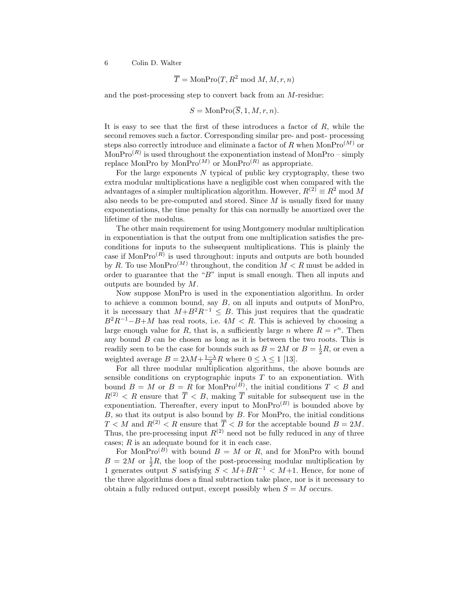$$
\overline{T} = \text{MonPro}(T, R^2 \text{ mod } M, M, r, n)
$$

and the post-processing step to convert back from an M-residue:

$$
S = \text{MonPro}(\overline{S}, 1, M, r, n).
$$

It is easy to see that the first of these introduces a factor of  $R$ , while the second removes such a factor. Corresponding similar pre- and post- processing steps also correctly introduce and eliminate a factor of R when MonPro<sup>(M)</sup> or  $MonPro<sup>(R)</sup>$  is used throughout the exponentiation instead of MonPro – simply replace MonPro by MonPro<sup> $(M)$ </sup> or MonPro<sup> $(R)$ </sup> as appropriate.

For the large exponents  $N$  typical of public key cryptography, these two extra modular multiplications have a negligible cost when compared with the advantages of a simpler multiplication algorithm. However,  $R^{(2)} \equiv R^2 \text{ mod } M$ also needs to be pre-computed and stored. Since  $M$  is usually fixed for many exponentiations, the time penalty for this can normally be amortized over the lifetime of the modulus.

The other main requirement for using Montgomery modular multiplication in exponentiation is that the output from one multiplication satisfies the preconditions for inputs to the subsequent multiplications. This is plainly the case if  $MonPro<sup>(R)</sup>$  is used throughout: inputs and outputs are both bounded by R. To use MonPro<sup>(M)</sup> throughout, the condition  $M < R$  must be added in order to guarantee that the "B" input is small enough. Then all inputs and outputs are bounded by M.

Now suppose MonPro is used in the exponentiation algorithm. In order to achieve a common bound, say  $B$ , on all inputs and outputs of MonPro, it is necessary that  $M+B^2R^{-1} \leq B$ . This just requires that the quadratic  $B^2R^{-1}-B+M$  has real roots, i.e.  $4M < R$ . This is achieved by choosing a large enough value for R, that is, a sufficiently large n where  $R = r<sup>n</sup>$ . Then any bound  $B$  can be chosen as long as it is between the two roots. This is readily seen to be the case for bounds such as  $B = 2M$  or  $B = \frac{1}{2}R$ , or even a weighted average  $B = 2\lambda M + \frac{1-\lambda}{2}R$  where  $0 \le \lambda \le 1$  [13].

For all three modular multiplication algorithms, the above bounds are sensible conditions on cryptographic inputs  $T$  to an exponentiation. With bound  $B = M$  or  $B = R$  for MonPro<sup> $(B)$ </sup>, the initial conditions  $T < B$  and  $R^{(2)} < R$  ensure that  $\overline{T} < B$ , making  $\overline{T}$  suitable for subsequent use in the exponentiation. Thereafter, every input to  $MonPro<sup>(B)</sup>$  is bounded above by  $B$ , so that its output is also bound by  $B$ . For MonPro, the initial conditions  $T < M$  and  $R^{(2)} < R$  ensure that  $\overline{T} < B$  for the acceptable bound  $B = 2M$ . Thus, the pre-processing input  $R^{(2)}$  need not be fully reduced in any of three cases;  $R$  is an adequate bound for it in each case.

For MonPro<sup>(B)</sup> with bound  $B = M$  or R, and for MonPro with bound  $B = 2M$  or  $\frac{1}{2}R$ , the loop of the post-processing modular multiplication by 1 generates output S satisfying  $S < M + BR^{-1} < M+1$ . Hence, for none of the three algorithms does a final subtraction take place, nor is it necessary to obtain a fully reduced output, except possibly when  $S = M$  occurs.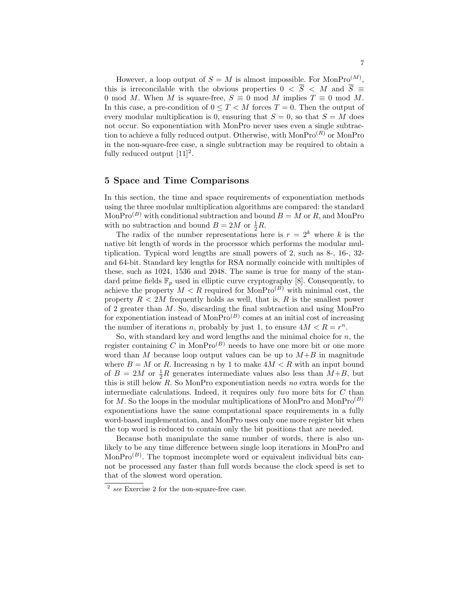However, a loop output of  $S = M$  is almost impossible. For MonPro<sup>(M)</sup>, this is irreconcilable with the obvious properties  $0 < \overline{S} < M$  and  $\overline{S} \equiv$ 0 mod M. When M is square-free,  $S \equiv 0 \mod M$  implies  $T \equiv 0 \mod M$ . In this case, a pre-condition of  $0 \leq T \leq M$  forces  $T = 0$ . Then the output of every modular multiplication is 0, ensuring that  $S = 0$ , so that  $S = M$  does not occur. So exponentiation with MonPro never uses even a single subtraction to achieve a fully reduced output. Otherwise, with  $MonPro<sup>(R)</sup>$  or MonPro in the non-square-free case, a single subtraction may be required to obtain a fully reduced output  $[11]^2$ .

## 5 Space and Time Comparisons

In this section, the time and space requirements of exponentiation methods using the three modular multiplication algorithms are compared: the standard Mon $\text{Pro}^{(B)}$  with conditional subtraction and bound  $B = M$  or R, and MonPro with no subtraction and bound  $B = 2M$  or  $\frac{1}{2}R$ .

The radix of the number representations here is  $r = 2<sup>k</sup>$  where k is the native bit length of words in the processor which performs the modular multiplication. Typical word lengths are small powers of 2, such as 8-, 16-, 32 and 64-bit. Standard key lengths for RSA normally coincide with multiples of these, such as 1024, 1536 and 2048. The same is true for many of the standard prime fields  $\mathbb{F}_p$  used in elliptic curve cryptography [8]. Consequently, to achieve the property  $M < R$  required for MonPro<sup>(B)</sup> with minimal cost, the property  $R < 2M$  frequently holds as well, that is, R is the smallest power of 2 greater than M. So, discarding the final subtraction and using MonPro for exponentiation instead of  $\text{MonPro}^{(B)}$  comes at an initial cost of increasing the number of iterations n, probably by just 1, to ensure  $4M < R = r<sup>n</sup>$ .

So, with standard key and word lengths and the minimal choice for  $n$ , the register containing C in MonPro<sup>(B)</sup> needs to have one more bit or one more word than M because loop output values can be up to  $M+B$  in magnitude where  $B = M$  or R. Increasing n by 1 to make  $4M < R$  with an input bound of  $B = 2M$  or  $\frac{1}{2}R$  generates intermediate values also less than  $M+B$ , but this is still below  $R$ . So MonPro exponentiation needs no extra words for the intermediate calculations. Indeed, it requires only two more bits for  $C$  than for  $M$ . So the loops in the modular multiplications of MonPro and MonPro<sup>(B)</sup> exponentiations have the same computational space requirements in a fully word-based implementation, and MonPro uses only one more register bit when the top word is reduced to contain only the bit positions that are needed.

Because both manipulate the same number of words, there is also unlikely to be any time difference between single loop iterations in MonPro and MonPro<sup> $(B)$ </sup>. The topmost incomplete word or equivalent individual bits cannot be processed any faster than full words because the clock speed is set to that of the slowest word operation.

<sup>2</sup> see Exercise 2 for the non-square-free case.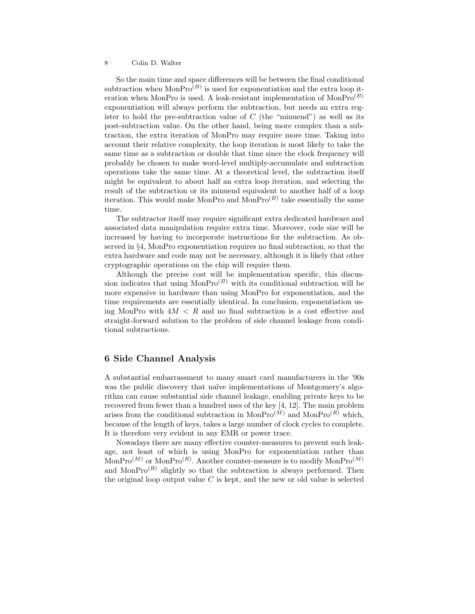So the main time and space differences will be between the final conditional subtraction when  $MonPro<sup>(B)</sup>$  is used for exponentiation and the extra loop iteration when MonPro is used. A leak-resistant implementation of  $MonPro<sup>(B)</sup>$ exponentiation will always perform the subtraction, but needs an extra register to hold the pre-subtraction value of  $C$  (the "minuend") as well as its post-subtraction value. On the other hand, being more complex than a subtraction, the extra iteration of MonPro may require more time. Taking into account their relative complexity, the loop iteration is most likely to take the same time as a subtraction or double that time since the clock frequency will probably be chosen to make word-level multiply-accumulate and subtraction operations take the same time. At a theoretical level, the subtraction itself might be equivalent to about half an extra loop iteration, and selecting the result of the subtraction or its minuend equivalent to another half of a loop iteration. This would make MonPro and MonPro<sup>(B)</sup> take essentially the same time.

The subtractor itself may require significant extra dedicated hardware and associated data manipulation require extra time. Moreover, code size will be increased by having to incorporate instructions for the subtraction. As observed in §4, MonPro exponentiation requires no final subtraction, so that the extra hardware and code may not be necessary, although it is likely that other cryptographic operations on the chip will require them.

Although the precise cost will be implementation specific, this discussion indicates that using  $MonPro^{(B)}$  with its conditional subtraction will be more expensive in hardware than using MonPro for exponentiation, and the time requirements are essentially identical. In conclusion, exponentiation using MonPro with  $4M < R$  and no final subtraction is a cost effective and straight-forward solution to the problem of side channel leakage from conditional subtractions.

# 6 Side Channel Analysis

A substantial embarrassment to many smart card manufacturers in the '90s was the public discovery that naïve implementations of Montgomery's algorithm can cause substantial side channel leakage, enabling private keys to be recovered from fewer than a hundred uses of the key [4, 12]. The main problem arises from the conditional subtraction in Mon $Pro^{(\tilde{M})}$  and Mon $Pro^{(\tilde{R})}$  which, because of the length of keys, takes a large number of clock cycles to complete. It is therefore very evident in any EMR or power trace.

Nowadays there are many effective counter-measures to prevent such leakage, not least of which is using MonPro for exponentiation rather than  $\text{MonPro}^{(M)}$  or  $\text{MonPro}^{(R)}$ . Another counter-measure is to modify  $\text{MonPro}^{(M)}$ and Mon $Pro^{(R)}$  slightly so that the subtraction is always performed. Then the original loop output value  $C$  is kept, and the new or old value is selected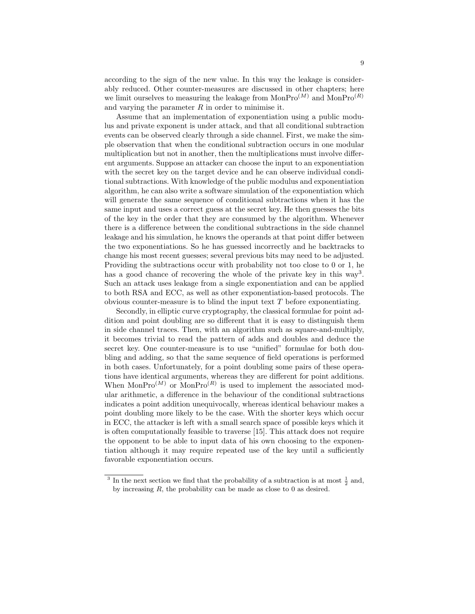according to the sign of the new value. In this way the leakage is considerably reduced. Other counter-measures are discussed in other chapters; here we limit ourselves to measuring the leakage from  $MonPro^{(M)}$  and  $MonPro^{(R)}$ and varying the parameter  $R$  in order to minimise it.

Assume that an implementation of exponentiation using a public modulus and private exponent is under attack, and that all conditional subtraction events can be observed clearly through a side channel. First, we make the simple observation that when the conditional subtraction occurs in one modular multiplication but not in another, then the multiplications must involve different arguments. Suppose an attacker can choose the input to an exponentiation with the secret key on the target device and he can observe individual conditional subtractions. With knowledge of the public modulus and exponentiation algorithm, he can also write a software simulation of the exponentiation which will generate the same sequence of conditional subtractions when it has the same input and uses a correct guess at the secret key. He then guesses the bits of the key in the order that they are consumed by the algorithm. Whenever there is a difference between the conditional subtractions in the side channel leakage and his simulation, he knows the operands at that point differ between the two exponentiations. So he has guessed incorrectly and he backtracks to change his most recent guesses; several previous bits may need to be adjusted. Providing the subtractions occur with probability not too close to 0 or 1, he has a good chance of recovering the whole of the private key in this way<sup>3</sup>. Such an attack uses leakage from a single exponentiation and can be applied to both RSA and ECC, as well as other exponentiation-based protocols. The obvious counter-measure is to blind the input text  $T$  before exponentiating.

Secondly, in elliptic curve cryptography, the classical formulae for point addition and point doubling are so different that it is easy to distinguish them in side channel traces. Then, with an algorithm such as square-and-multiply, it becomes trivial to read the pattern of adds and doubles and deduce the secret key. One counter-measure is to use "unified" formulae for both doubling and adding, so that the same sequence of field operations is performed in both cases. Unfortunately, for a point doubling some pairs of these operations have identical arguments, whereas they are different for point additions. When MonPro<sup>(M)</sup> or MonPro<sup>(R)</sup> is used to implement the associated modular arithmetic, a difference in the behaviour of the conditional subtractions indicates a point addition unequivocally, whereas identical behaviour makes a point doubling more likely to be the case. With the shorter keys which occur in ECC, the attacker is left with a small search space of possible keys which it is often computationally feasible to traverse [15]. This attack does not require the opponent to be able to input data of his own choosing to the exponentiation although it may require repeated use of the key until a sufficiently favorable exponentiation occurs.

<sup>&</sup>lt;sup>3</sup> In the next section we find that the probability of a subtraction is at most  $\frac{1}{2}$  and, by increasing R, the probability can be made as close to 0 as desired.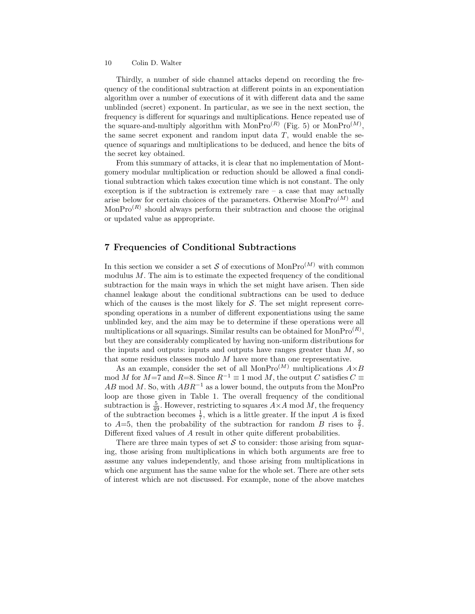Thirdly, a number of side channel attacks depend on recording the frequency of the conditional subtraction at different points in an exponentiation algorithm over a number of executions of it with different data and the same unblinded (secret) exponent. In particular, as we see in the next section, the frequency is different for squarings and multiplications. Hence repeated use of the square-and-multiply algorithm with MonPro<sup>(R)</sup> (Fig. 5) or MonPro<sup>(M)</sup>, the same secret exponent and random input data  $T$ , would enable the sequence of squarings and multiplications to be deduced, and hence the bits of the secret key obtained.

From this summary of attacks, it is clear that no implementation of Montgomery modular multiplication or reduction should be allowed a final conditional subtraction which takes execution time which is not constant. The only exception is if the subtraction is extremely rare  $-$  a case that may actually arise below for certain choices of the parameters. Otherwise  $MonPro<sup>(M)</sup>$  and  $MonPro<sup>(R)</sup>$  should always perform their subtraction and choose the original or updated value as appropriate.

### 7 Frequencies of Conditional Subtractions

In this section we consider a set S of executions of  $\text{MonPro}^{(M)}$  with common modulus M. The aim is to estimate the expected frequency of the conditional subtraction for the main ways in which the set might have arisen. Then side channel leakage about the conditional subtractions can be used to deduce which of the causes is the most likely for  $S$ . The set might represent corresponding operations in a number of different exponentiations using the same unblinded key, and the aim may be to determine if these operations were all multiplications or all squarings. Similar results can be obtained for  $MonPro<sup>(R)</sup>$ , but they are considerably complicated by having non-uniform distributions for the inputs and outputs: inputs and outputs have ranges greater than  $M$ , so that some residues classes modulo M have more than one representative.

As an example, consider the set of all MonPro<sup>(M)</sup> multiplications  $A \times B$ mod M for M=7 and R=8. Since  $R^{-1} \equiv 1 \mod M$ , the output C satisfies  $C \equiv$ AB mod M. So, with  $ABR^{-1}$  as a lower bound, the outputs from the MonPro loop are those given in Table 1. The overall frequency of the conditional subtraction is  $\frac{5}{49}$ . However, restricting to squares  $A \times A$  mod M, the frequency of the subtraction becomes  $\frac{1}{7}$ , which is a little greater. If the input A is fixed to  $A=5$ , then the probability of the subtraction for random B rises to  $\frac{2}{7}$ . Different fixed values of A result in other quite different probabilities.

There are three main types of set  $S$  to consider: those arising from squaring, those arising from multiplications in which both arguments are free to assume any values independently, and those arising from multiplications in which one argument has the same value for the whole set. There are other sets of interest which are not discussed. For example, none of the above matches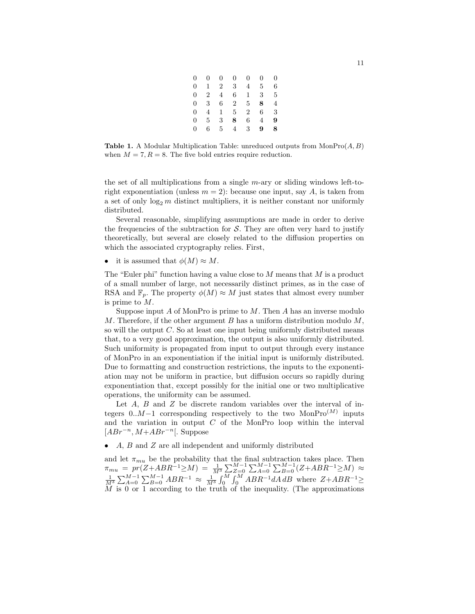| 0 | 0              | 0              | 0              | 0              | 0 | $\Omega$ |
|---|----------------|----------------|----------------|----------------|---|----------|
| 0 | 1              | $\overline{2}$ | 3              | 4              | 5 | 6        |
| 0 | $\overline{2}$ | $\overline{4}$ | 6              | 1              | 3 | 5        |
| 0 | 3              | 6              | $\overline{2}$ | 5              | 8 | 4        |
| 0 | 4              | 1              | $5^{\circ}$    | $\overline{2}$ | 6 | 3        |
| 0 | 5              | 3              | 8              | 6              | 4 | 9        |
| 0 | 6              | 5              | 4              | 3              | 9 | 8        |
|   |                |                |                |                |   |          |

**Table 1.** A Modular Multiplication Table: unreduced outputs from  $MonPro(A, B)$ when  $M = 7, R = 8$ . The five bold entries require reduction.

the set of all multiplications from a single  $m$ -ary or sliding windows left-toright exponentiation (unless  $m = 2$ ): because one input, say A, is taken from a set of only  $\log_2 m$  distinct multipliers, it is neither constant nor uniformly distributed.

Several reasonable, simplifying assumptions are made in order to derive the frequencies of the subtraction for  $S$ . They are often very hard to justify theoretically, but several are closely related to the diffusion properties on which the associated cryptography relies. First,

it is assumed that  $\phi(M) \approx M$ .

The "Euler phi" function having a value close to  $M$  means that  $M$  is a product of a small number of large, not necessarily distinct primes, as in the case of RSA and  $\mathbb{F}_p$ . The property  $\phi(M) \approx M$  just states that almost every number is prime to M.

Suppose input  $A$  of MonPro is prime to  $M$ . Then  $A$  has an inverse modulo M. Therefore, if the other argument B has a uniform distribution modulo  $M$ , so will the output  $C$ . So at least one input being uniformly distributed means that, to a very good approximation, the output is also uniformly distributed. Such uniformity is propagated from input to output through every instance of MonPro in an exponentiation if the initial input is uniformly distributed. Due to formatting and construction restrictions, the inputs to the exponentiation may not be uniform in practice, but diffusion occurs so rapidly during exponentiation that, except possibly for the initial one or two multiplicative operations, the uniformity can be assumed.

Let  $A$ ,  $B$  and  $Z$  be discrete random variables over the interval of integers  $0.M-1$  corresponding respectively to the two MonPro $(M)$  inputs and the variation in output  $C$  of the MonPro loop within the interval  $[ABr^{-n}, M+ABr^{-n}]$ . Suppose

 $\bullet$  A, B and Z are all independent and uniformly distributed

and let  $\pi_{mu}$  be the probability that the final subtraction takes place. Then  $\pi_{mu} = pr(Z + ABR^{-1} \geq M) = \frac{1}{M^3} \sum_{Z=0}^{M-1} \sum_{A=0}^{M-1} \sum_{B=0}^{M-1} (Z + ABR^{-1} \geq M) \approx \frac{1}{M^3} \sum_{A=0}^{M-1} \sum_{B=0}^{M-1} ABR^{-1} \approx \frac{1}{M^3} \int_0^M \int_0^M ABR^{-1} dA dB$  where  $Z + ABR^{-1} \geq$  $\tilde{M}$  is 0 or 1 according to the truth of the inequality. (The approximations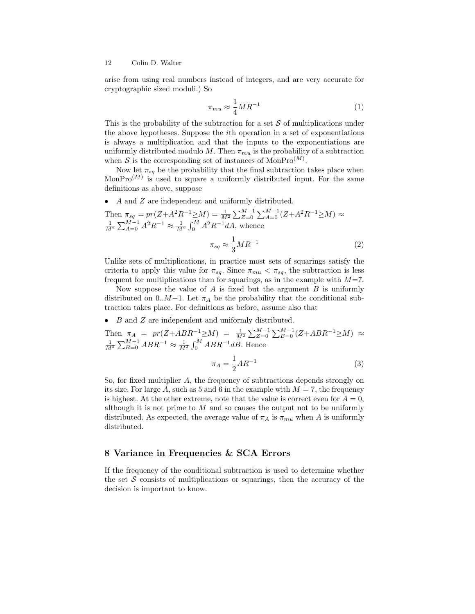arise from using real numbers instead of integers, and are very accurate for cryptographic sized moduli.) So

$$
\pi_{mu} \approx \frac{1}{4} M R^{-1} \tag{1}
$$

This is the probability of the subtraction for a set  $S$  of multiplications under the above hypotheses. Suppose the ith operation in a set of exponentiations is always a multiplication and that the inputs to the exponentiations are uniformly distributed modulo M. Then  $\pi_{mu}$  is the probability of a subtraction when S is the corresponding set of instances of  $MonPro<sup>(M)</sup>$ .

Now let  $\pi_{sq}$  be the probability that the final subtraction takes place when MonPro<sup> $(M)$ </sup> is used to square a uniformly distributed input. For the same definitions as above, suppose

• A and Z are independent and uniformly distributed.

Then  $\pi_{sq} = pr(Z + A^2 R^{-1} \ge M) = \frac{1}{M^2} \sum_{Z=0}^{M-1} \sum_{A=0}^{M-1} (Z + A^2 R^{-1} \ge M) \approx \frac{1}{M^2} \sum_{A=0}^{M-1} A^2 R^{-1} \approx \frac{1}{M^2} \int_0^M A^2 R^{-1} dA$ , whence

$$
\pi_{sq} \approx \frac{1}{3} M R^{-1} \tag{2}
$$

Unlike sets of multiplications, in practice most sets of squarings satisfy the criteria to apply this value for  $\pi_{sq}$ . Since  $\pi_{mu} < \pi_{sq}$ , the subtraction is less frequent for multiplications than for squarings, as in the example with  $M=7$ .

Now suppose the value of  $A$  is fixed but the argument  $B$  is uniformly distributed on 0.. $M-1$ . Let  $\pi_A$  be the probability that the conditional subtraction takes place. For definitions as before, assume also that

 $\bullet$  B and Z are independent and uniformly distributed.

Then 
$$
\pi_A = pr(Z + ABR^{-1} \ge M) = \frac{1}{M^2} \sum_{Z=0}^{M-1} \sum_{B=0}^{M-1} (Z + ABR^{-1} \ge M) \approx \frac{1}{M^2} \sum_{B=0}^{M-1} ABR^{-1} \approx \frac{1}{M^2} \int_0^M ABR^{-1}dB
$$
. Hence

$$
\pi_A = \frac{1}{2} A R^{-1}
$$
 (3)

So, for fixed multiplier A, the frequency of subtractions depends strongly on its size. For large A, such as 5 and 6 in the example with  $M = 7$ , the frequency is highest. At the other extreme, note that the value is correct even for  $A = 0$ , although it is not prime to  $M$  and so causes the output not to be uniformly distributed. As expected, the average value of  $\pi_A$  is  $\pi_{mu}$  when A is uniformly distributed.

# 8 Variance in Frequencies & SCA Errors

If the frequency of the conditional subtraction is used to determine whether the set  $S$  consists of multiplications or squarings, then the accuracy of the decision is important to know.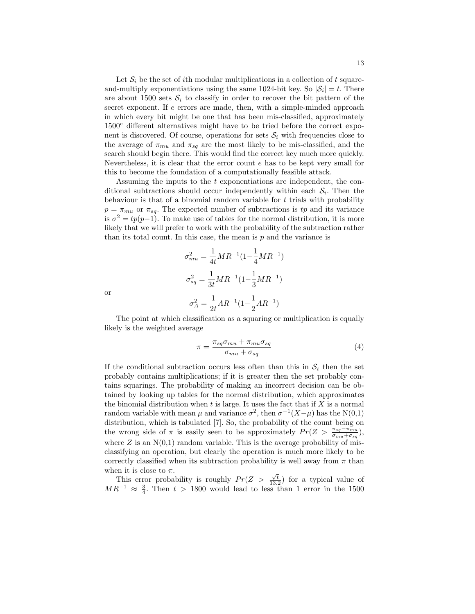Let  $S_i$  be the set of ith modular multiplications in a collection of t squareand-multiply exponentiations using the same 1024-bit key. So  $|\mathcal{S}_i| = t$ . There are about 1500 sets  $S_i$  to classify in order to recover the bit pattern of the secret exponent. If e errors are made, then, with a simple-minded approach in which every bit might be one that has been mis-classified, approximately  $1500<sup>e</sup>$  different alternatives might have to be tried before the correct exponent is discovered. Of course, operations for sets  $S_i$  with frequencies close to the average of  $\pi_{mu}$  and  $\pi_{sq}$  are the most likely to be mis-classified, and the search should begin there. This would find the correct key much more quickly. Nevertheless, it is clear that the error count e has to be kept very small for this to become the foundation of a computationally feasible attack.

Assuming the inputs to the t exponentiations are independent, the conditional subtractions should occur independently within each  $S_i$ . Then the behaviour is that of a binomial random variable for  $t$  trials with probability  $p = \pi_{mu}$  or  $\pi_{sq}$ . The expected number of subtractions is tp and its variance is  $\sigma^2 = tp(p-1)$ . To make use of tables for the normal distribution, it is more likely that we will prefer to work with the probability of the subtraction rather than its total count. In this case, the mean is  $p$  and the variance is

$$
\sigma_{mu}^{2} = \frac{1}{4t}MR^{-1}(1 - \frac{1}{4}MR^{-1})
$$

$$
\sigma_{sq}^{2} = \frac{1}{3t}MR^{-1}(1 - \frac{1}{3}MR^{-1})
$$

$$
\sigma_{A}^{2} = \frac{1}{2t}AR^{-1}(1 - \frac{1}{2}AR^{-1})
$$

or

The point at which classification as a squaring or multiplication is equally likely is the weighted average

$$
\pi = \frac{\pi_{sq}\sigma_{mu} + \pi_{mu}\sigma_{sq}}{\sigma_{mu} + \sigma_{sq}} \tag{4}
$$

If the conditional subtraction occurs less often than this in  $S_i$  then the set probably contains multiplications; if it is greater then the set probably contains squarings. The probability of making an incorrect decision can be obtained by looking up tables for the normal distribution, which approximates the binomial distribution when  $t$  is large. It uses the fact that if  $X$  is a normal random variable with mean  $\mu$  and variance  $\sigma^2$ , then  $\sigma^{-1}(X-\mu)$  has the N(0,1) distribution, which is tabulated [7]. So, the probability of the count being on the wrong side of  $\pi$  is easily seen to be approximately  $Pr(Z > \frac{\pi_{sq} - \pi_{mu}}{\sigma_{mu} + \sigma_{sq}})$ , where  $Z$  is an  $N(0,1)$  random variable. This is the average probability of misclassifying an operation, but clearly the operation is much more likely to be correctly classified when its subtraction probability is well away from  $\pi$  than when it is close to  $\pi$ .

This error probability is roughly  $Pr(Z > \frac{\sqrt{t}}{13.2})$  for a typical value of  $MR^{-1} \approx \frac{3}{4}$ . Then  $t > 1800$  would lead to less than 1 error in the 1500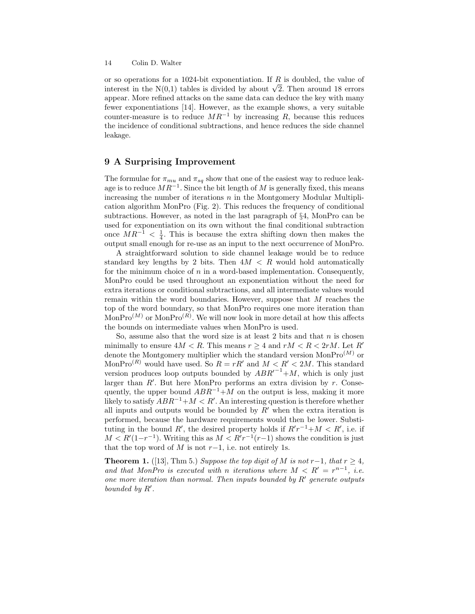or so operations for a 1024-bit exponentiation. If  $R$  is doubled, the value of or so operations for a 1024-bit exponentiation. If R is doubled, the value of interest in the N(0,1) tables is divided by about  $\sqrt{2}$ . Then around 18 errors appear. More refined attacks on the same data can deduce the key with many fewer exponentiations [14]. However, as the example shows, a very suitable counter-measure is to reduce  $MR^{-1}$  by increasing R, because this reduces the incidence of conditional subtractions, and hence reduces the side channel leakage.

## 9 A Surprising Improvement

The formulae for  $\pi_{mu}$  and  $\pi_{sq}$  show that one of the easiest way to reduce leakage is to reduce  $MR^{-1}$ . Since the bit length of M is generally fixed, this means increasing the number of iterations  $n$  in the Montgomery Modular Multiplication algorithm MonPro (Fig. 2). This reduces the frequency of conditional subtractions. However, as noted in the last paragraph of §4, MonPro can be used for exponentiation on its own without the final conditional subtraction once  $MR^{-1} < \frac{1}{4}$ . This is because the extra shifting down then makes the output small enough for re-use as an input to the next occurrence of MonPro.

A straightforward solution to side channel leakage would be to reduce standard key lengths by 2 bits. Then  $4M < R$  would hold automatically for the minimum choice of  $n$  in a word-based implementation. Consequently, MonPro could be used throughout an exponentiation without the need for extra iterations or conditional subtractions, and all intermediate values would remain within the word boundaries. However, suppose that M reaches the top of the word boundary, so that MonPro requires one more iteration than  $MonPro<sup>(M)</sup>$  or  $MonPro<sup>(R)</sup>$ . We will now look in more detail at how this affects the bounds on intermediate values when MonPro is used.

So, assume also that the word size is at least 2 bits and that  $n$  is chosen minimally to ensure  $4M < R$ . This means  $r \geq 4$  and  $rM < R < 2rM$ . Let R' denote the Montgomery multiplier which the standard version  $MonPro<sup>(M)</sup>$  or MonPro<sup> $(R)$ </sup> would have used. So  $R = rR'$  and  $M < R' < 2M$ . This standard version produces loop outputs bounded by  $ABR^{-1}+M$ , which is only just larger than  $R'$ . But here MonPro performs an extra division by  $r$ . Consequently, the upper bound  $ABR^{-1}+M$  on the output is less, making it more likely to satisfy  $ABR^{-1}+M < R'$ . An interesting question is therefore whether all inputs and outputs would be bounded by  $R'$  when the extra iteration is performed, because the hardware requirements would then be lower. Substituting in the bound R', the desired property holds if  $R'r^{-1}+M < R'$ , i.e. if  $M < R'(1-r^{-1})$ . Writing this as  $M < R'r^{-1}(r-1)$  shows the condition is just that the top word of M is not  $r-1$ , i.e. not entirely 1s.

**Theorem 1.** ([13], Thm 5.) Suppose the top digit of M is not r−1, that  $r \geq 4$ , and that MonPro is executed with n iterations where  $M < R' = r^{n-1}$ , i.e. one more iteration than normal. Then inputs bounded by  $R'$  generate outputs bounded by  $R'$ .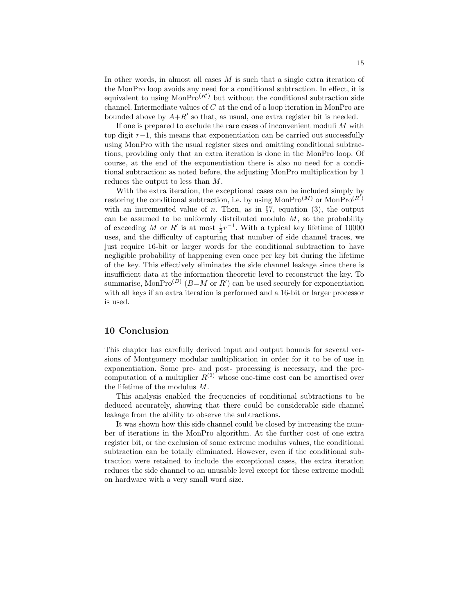In other words, in almost all cases M is such that a single extra iteration of the MonPro loop avoids any need for a conditional subtraction. In effect, it is equivalent to using  $MonPro<sup>(R')</sup>$  but without the conditional subtraction side channel. Intermediate values of C at the end of a loop iteration in MonPro are bounded above by  $A + R'$  so that, as usual, one extra register bit is needed.

If one is prepared to exclude the rare cases of inconvenient moduli M with top digit r−1, this means that exponentiation can be carried out successfully using MonPro with the usual register sizes and omitting conditional subtractions, providing only that an extra iteration is done in the MonPro loop. Of course, at the end of the exponentiation there is also no need for a conditional subtraction: as noted before, the adjusting MonPro multiplication by 1 reduces the output to less than M.

With the extra iteration, the exceptional cases can be included simply by restoring the conditional subtraction, i.e. by using  $\text{MonPro}^{(M)}$  or  $\text{MonPro}^{(R')}$ with an incremented value of *n*. Then, as in  $\S7$ , equation (3), the output can be assumed to be uniformly distributed modulo  $M$ , so the probability of exceeding M or R' is at most  $\frac{1}{2}r^{-1}$ . With a typical key lifetime of 10000 uses, and the difficulty of capturing that number of side channel traces, we just require 16-bit or larger words for the conditional subtraction to have negligible probability of happening even once per key bit during the lifetime of the key. This effectively eliminates the side channel leakage since there is insufficient data at the information theoretic level to reconstruct the key. To summarise, Mon $Pro^{(B)}$  ( $B=M$  or  $R'$ ) can be used securely for exponentiation with all keys if an extra iteration is performed and a 16-bit or larger processor is used.

#### 10 Conclusion

This chapter has carefully derived input and output bounds for several versions of Montgomery modular multiplication in order for it to be of use in exponentiation. Some pre- and post- processing is necessary, and the precomputation of a multiplier  $R^{(2)}$  whose one-time cost can be amortised over the lifetime of the modulus M.

This analysis enabled the frequencies of conditional subtractions to be deduced accurately, showing that there could be considerable side channel leakage from the ability to observe the subtractions.

It was shown how this side channel could be closed by increasing the number of iterations in the MonPro algorithm. At the further cost of one extra register bit, or the exclusion of some extreme modulus values, the conditional subtraction can be totally eliminated. However, even if the conditional subtraction were retained to include the exceptional cases, the extra iteration reduces the side channel to an unusable level except for these extreme moduli on hardware with a very small word size.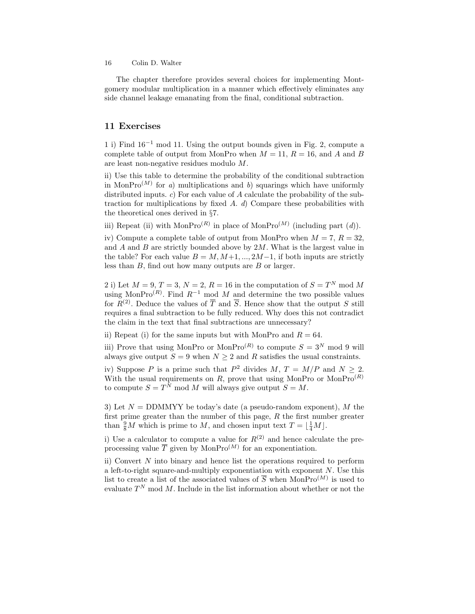The chapter therefore provides several choices for implementing Montgomery modular multiplication in a manner which effectively eliminates any side channel leakage emanating from the final, conditional subtraction.

#### 11 Exercises

1 i) Find 16−<sup>1</sup> mod 11. Using the output bounds given in Fig. 2, compute a complete table of output from MonPro when  $M = 11$ ,  $R = 16$ , and A and B are least non-negative residues modulo M.

ii) Use this table to determine the probability of the conditional subtraction in MonPro<sup>(M)</sup> for a) multiplications and b) squarings which have uniformly distributed inputs. c) For each value of A calculate the probability of the subtraction for multiplications by fixed  $A$ .  $d$ ) Compare these probabilities with the theoretical ones derived in §7.

iii) Repeat (ii) with MonPro<sup>(R)</sup> in place of MonPro<sup>(M)</sup> (including part  $(d)$ ).

iv) Compute a complete table of output from MonPro when  $M = 7, R = 32$ , and  $A$  and  $B$  are strictly bounded above by  $2M$ . What is the largest value in the table? For each value  $B = M, M+1, ..., 2M-1$ , if both inputs are strictly less than B, find out how many outputs are B or larger.

2 i) Let  $M = 9, T = 3, N = 2, R = 16$  in the computation of  $S = T<sup>N</sup>$  mod M using MonPro<sup> $(R)$ </sup>. Find  $R^{-1}$  mod M and determine the two possible values for  $R^{(2)}$ . Deduce the values of  $\overline{T}$  and  $\overline{S}$ . Hence show that the output S still requires a final subtraction to be fully reduced. Why does this not contradict the claim in the text that final subtractions are unnecessary?

ii) Repeat (i) for the same inputs but with MonPro and  $R = 64$ .

iii) Prove that using MonPro or MonPro<sup>(R)</sup> to compute  $S = 3^N \mod 9$  will always give output  $S = 9$  when  $N \geq 2$  and R satisfies the usual constraints.

iv) Suppose P is a prime such that  $P^2$  divides  $M, T = M/P$  and  $N \ge 2$ . With the usual requirements on R, prove that using MonPro or MonPro $^{(R)}$ to compute  $S = T^N \mod M$  will always give output  $S = M$ .

3) Let  $N = \text{DDMMYY}$  be today's date (a pseudo-random exponent), M the first prime greater than the number of this page,  $R$  the first number greater than  $\frac{9}{8}M$  which is prime to M, and chosen input text  $T = \lfloor \frac{1}{4}M \rfloor$ .

i) Use a calculator to compute a value for  $R^{(2)}$  and hence calculate the preprocessing value  $\overline{T}$  given by MonPro<sup> $(M)$ </sup> for an exponentiation.

ii) Convert  $N$  into binary and hence list the operations required to perform a left-to-right square-and-multiply exponentiation with exponent  $N$ . Use this list to create a list of the associated values of  $\overline{S}$  when MonPro<sup>(M)</sup> is used to evaluate  $T^N$  mod M. Include in the list information about whether or not the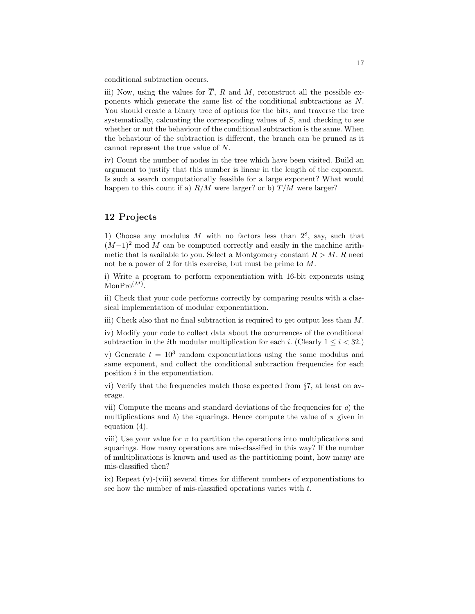conditional subtraction occurs.

iii) Now, using the values for  $\overline{T}$ , R and M, reconstruct all the possible exponents which generate the same list of the conditional subtractions as N. You should create a binary tree of options for the bits, and traverse the tree systematically, calcuating the corresponding values of  $\overline{S}$ , and checking to see whether or not the behaviour of the conditional subtraction is the same. When the behaviour of the subtraction is different, the branch can be pruned as it cannot represent the true value of N.

iv) Count the number of nodes in the tree which have been visited. Build an argument to justify that this number is linear in the length of the exponent. Is such a search computationally feasible for a large exponent? What would happen to this count if a)  $R/M$  were larger? or b)  $T/M$  were larger?

# 12 Projects

1) Choose any modulus M with no factors less than  $2^8$ , say, such that  $(M-1)^2$  mod M can be computed correctly and easily in the machine arithmetic that is available to you. Select a Montgomery constant  $R > M$ . R need not be a power of 2 for this exercise, but must be prime to M.

i) Write a program to perform exponentiation with 16-bit exponents using  $MonPro<sup>(M)</sup>$ .

ii) Check that your code performs correctly by comparing results with a classical implementation of modular exponentiation.

iii) Check also that no final subtraction is required to get output less than  $M$ .

iv) Modify your code to collect data about the occurrences of the conditional subtraction in the *i*th modular multiplication for each *i*. (Clearly  $1 \leq i < 32$ .)

v) Generate  $t = 10^3$  random exponentiations using the same modulus and same exponent, and collect the conditional subtraction frequencies for each position  $i$  in the exponentiation.

vi) Verify that the frequencies match those expected from §7, at least on average.

vii) Compute the means and standard deviations of the frequencies for  $a)$  the multiplications and b) the squarings. Hence compute the value of  $\pi$  given in equation (4).

viii) Use your value for  $\pi$  to partition the operations into multiplications and squarings. How many operations are mis-classified in this way? If the number of multiplications is known and used as the partitioning point, how many are mis-classified then?

ix) Repeat (v)-(viii) several times for different numbers of exponentiations to see how the number of mis-classified operations varies with t.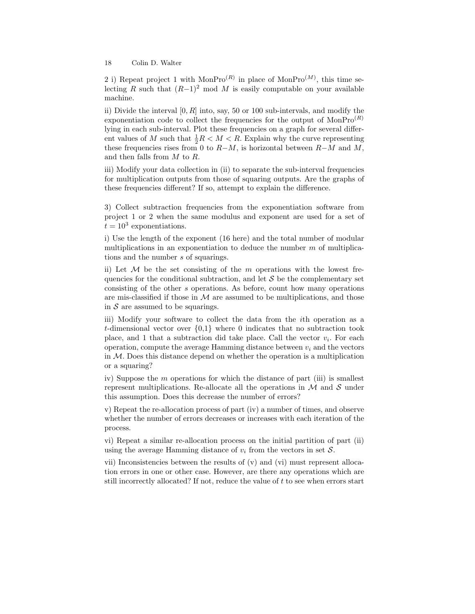2 i) Repeat project 1 with  $MonPro<sup>(R)</sup>$  in place of  $MonPro<sup>(M)</sup>$ , this time selecting R such that  $(R-1)^2$  mod M is easily computable on your available machine.

ii) Divide the interval  $[0, R]$  into, say, 50 or 100 sub-intervals, and modify the exponentiation code to collect the frequencies for the output of  $MonPro<sup>(R)</sup>$ lying in each sub-interval. Plot these frequencies on a graph for several different values of M such that  $\frac{1}{2}R < M < R$ . Explain why the curve representing these frequencies rises from 0 to  $R-M$ , is horizontal between  $R-M$  and M, and then falls from M to R.

iii) Modify your data collection in (ii) to separate the sub-interval frequencies for multiplication outputs from those of squaring outputs. Are the graphs of these frequencies different? If so, attempt to explain the difference.

3) Collect subtraction frequencies from the exponentiation software from project 1 or 2 when the same modulus and exponent are used for a set of  $t = 10^3$  exponentiations.

i) Use the length of the exponent (16 here) and the total number of modular multiplications in an exponentiation to deduce the number  $m$  of multiplications and the number s of squarings.

ii) Let  $\mathcal M$  be the set consisting of the m operations with the lowest frequencies for the conditional subtraction, and let  $S$  be the complementary set consisting of the other s operations. As before, count how many operations are mis-classified if those in  $M$  are assumed to be multiplications, and those in  $S$  are assumed to be squarings.

iii) Modify your software to collect the data from the ith operation as a t-dimensional vector over  $\{0,1\}$  where 0 indicates that no subtraction took place, and 1 that a subtraction did take place. Call the vector  $v_i$ . For each operation, compute the average Hamming distance between  $v_i$  and the vectors in  $M$ . Does this distance depend on whether the operation is a multiplication or a squaring?

iv) Suppose the  $m$  operations for which the distance of part (iii) is smallest represent multiplications. Re-allocate all the operations in  $M$  and  $S$  under this assumption. Does this decrease the number of errors?

v) Repeat the re-allocation process of part (iv) a number of times, and observe whether the number of errors decreases or increases with each iteration of the process.

vi) Repeat a similar re-allocation process on the initial partition of part (ii) using the average Hamming distance of  $v_i$  from the vectors in set  $\mathcal{S}$ .

vii) Inconsistencies between the results of (v) and (vi) must represent allocation errors in one or other case. However, are there any operations which are still incorrectly allocated? If not, reduce the value of  $t$  to see when errors start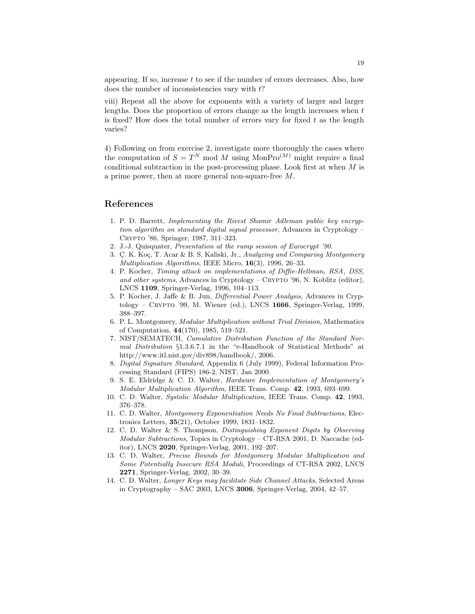appearing. If so, increase  $t$  to see if the number of errors decreases. Also, how does the number of inconsistencies vary with  $t$ ?

viii) Repeat all the above for exponents with a variety of larger and larger lengths. Does the proportion of errors change as the length increases when  $t$ is fixed? How does the total number of errors vary for fixed  $t$  as the length varies?

4) Following on from exercise 2, investigate more thoroughly the cases where the computation of  $S = T^N \mod M$  using MonPro<sup>(M)</sup> might require a final conditional subtraction in the post-processing phase. Look first at when  $M$  is a prime power, then at more general non-square-free M.

### References

- 1. P. D. Barrett, Implementing the Rivest Shamir Adleman public key encryption algorithm on standard digital signal processor, Advances in Cryptology – Crypto '86, Springer, 1987, 311–323.
- 2. J.-J. Quisquater, Presentation at the rump session of Eurocrypt '90.
- 3. Ç. K. Koç, T. Acar & B. S. Kaliski, Jr., Analyzing and Comparing Montgomery Multiplication Algorithms, IEEE Micro, 16(3), 1996, 26–33.
- 4. P. Kocher, Timing attack on implementations of Diffie-Hellman, RSA, DSS, and other systems, Advances in Cryptology – CRYPTO '96, N. Koblitz (editor), LNCS 1109, Springer-Verlag, 1996, 104–113.
- 5. P. Kocher, J. Jaffe & B. Jun, Differential Power Analysis, Advances in Cryp- $\text{tology} - \text{C}\text{RYPTO}$  '99, M. Wiener (ed.), LNCS 1666, Springer-Verlag, 1999, 388–397.
- 6. P. L. Montgomery, Modular Multiplication without Trial Division, Mathematics of Computation, 44(170), 1985, 519–521.
- 7. NIST/SEMATECH, Cumulative Distribution Function of the Standard Normal Distribution §1.3.6.7.1 in the "e-Handbook of Statistical Methods" at http://www.itl.nist.gov/div898/handbook/, 2006.
- 8. Digital Signature Standard, Appendix 6 (July 1999), Federal Information Processing Standard (FIPS) 186-2, NIST, Jan 2000.
- 9. S. E. Eldridge & C. D. Walter, Hardware Implementation of Montgomery's Modular Multiplication Algorithm, IEEE Trans. Comp. 42, 1993, 693–699.
- 10. C. D. Walter, Systolic Modular Multiplication, IEEE Trans. Comp. 42, 1993, 376–378.
- 11. C. D. Walter, Montgomery Exponentiation Needs No Final Subtractions, Electronics Letters, 35(21), October 1999, 1831–1832.
- 12. C. D. Walter & S. Thompson, Distinguishing Exponent Digits by Observing Modular Subtractions, Topics in Cryptology – CT-RSA 2001, D. Naccache (editor), LNCS 2020, Springer-Verlag, 2001, 192–207.
- 13. C. D. Walter, Precise Bounds for Montgomery Modular Multiplication and Some Potentially Insecure RSA Moduli, Proceedings of CT-RSA 2002, LNCS 2271, Springer-Verlag, 2002, 30–39.
- 14. C. D. Walter, Longer Keys may facilitate Side Channel Attacks, Selected Areas in Cryptography – SAC 2003, LNCS 3006, Springer-Verlag, 2004, 42–57.